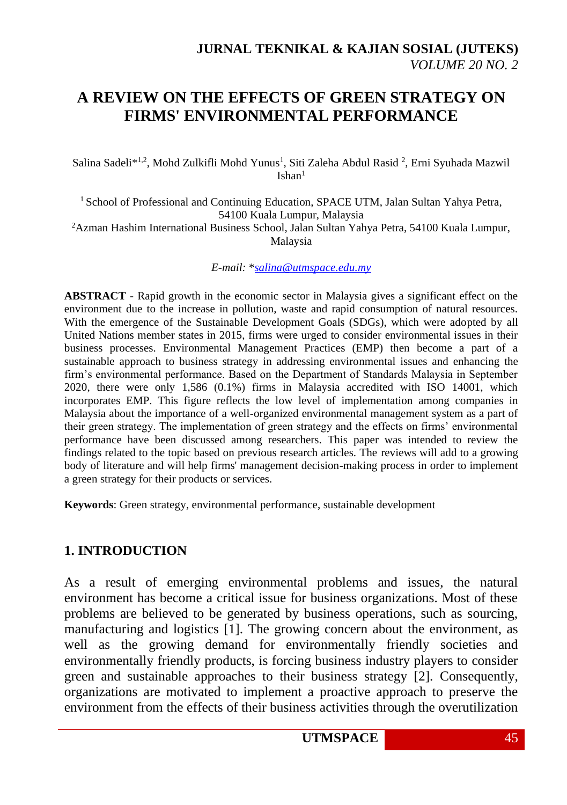# **A REVIEW ON THE EFFECTS OF GREEN STRATEGY ON FIRMS' ENVIRONMENTAL PERFORMANCE**

Salina Sadeli\*<sup>1,2</sup>, Mohd Zulkifli Mohd Yunus<sup>1</sup>, Siti Zaleha Abdul Rasid<sup>2</sup>, Erni Syuhada Mazwil  $Ishan<sup>1</sup>$ 

<sup>1</sup> School of Professional and Continuing Education, SPACE UTM, Jalan Sultan Yahya Petra, 54100 Kuala Lumpur, Malaysia <sup>2</sup>Azman Hashim International Business School, Jalan Sultan Yahya Petra, 54100 Kuala Lumpur, Malaysia

*E-mail:* \**[salina@utmspace.edu.my](mailto:salina@utmspace.edu.my)*

**ABSTRACT** - Rapid growth in the economic sector in Malaysia gives a significant effect on the environment due to the increase in pollution, waste and rapid consumption of natural resources. With the emergence of the Sustainable Development Goals (SDGs), which were adopted by all United Nations member states in 2015, firms were urged to consider environmental issues in their business processes. Environmental Management Practices (EMP) then become a part of a sustainable approach to business strategy in addressing environmental issues and enhancing the firm's environmental performance. Based on the Department of Standards Malaysia in September 2020, there were only 1,586 (0.1%) firms in Malaysia accredited with ISO 14001, which incorporates EMP. This figure reflects the low level of implementation among companies in Malaysia about the importance of a well-organized environmental management system as a part of their green strategy. The implementation of green strategy and the effects on firms' environmental performance have been discussed among researchers. This paper was intended to review the findings related to the topic based on previous research articles. The reviews will add to a growing body of literature and will help firms' management decision-making process in order to implement a green strategy for their products or services.

**Keywords**: Green strategy, environmental performance, sustainable development

### **1. INTRODUCTION**

As a result of emerging environmental problems and issues, the natural environment has become a critical issue for business organizations. Most of these problems are believed to be generated by business operations, such as sourcing, manufacturing and logistics [1]. The growing concern about the environment, as well as the growing demand for environmentally friendly societies and environmentally friendly products, is forcing business industry players to consider green and sustainable approaches to their business strategy [2]. Consequently, organizations are motivated to implement a proactive approach to preserve the environment from the effects of their business activities through the overutilization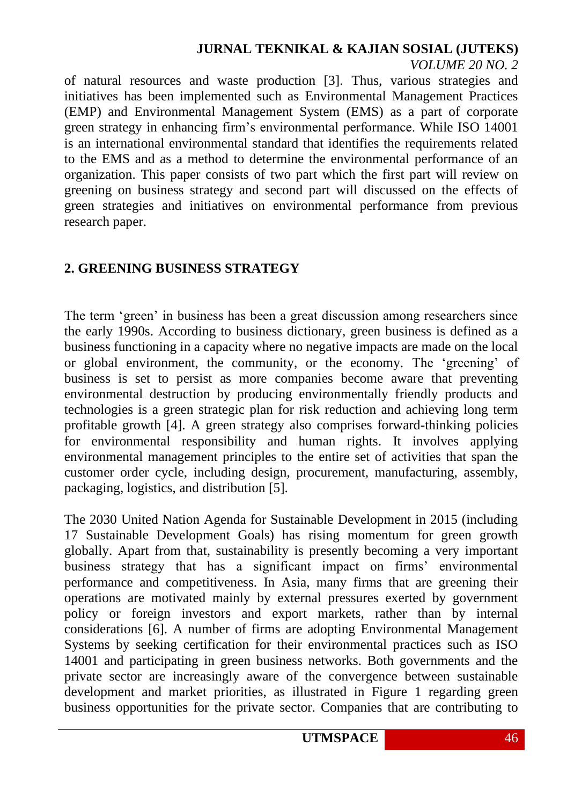### **JURNAL TEKNIKAL & KAJIAN SOSIAL (JUTEKS)** *VOLUME 20 NO. 2*

of natural resources and waste production [3]. Thus, various strategies and initiatives has been implemented such as Environmental Management Practices (EMP) and Environmental Management System (EMS) as a part of corporate green strategy in enhancing firm's environmental performance. While ISO 14001 is an international environmental standard that identifies the requirements related to the EMS and as a method to determine the environmental performance of an organization. This paper consists of two part which the first part will review on greening on business strategy and second part will discussed on the effects of green strategies and initiatives on environmental performance from previous research paper.

# **2. GREENING BUSINESS STRATEGY**

The term 'green' in business has been a great discussion among researchers since the early 1990s. According to business dictionary, green business is defined as a business functioning in a capacity where no negative impacts are made on the local or global environment, the community, or the economy. The 'greening' of business is set to persist as more companies become aware that preventing environmental destruction by producing environmentally friendly products and technologies is a green strategic plan for risk reduction and achieving long term profitable growth [4]. A green strategy also comprises forward-thinking policies for environmental responsibility and human rights. It involves applying environmental management principles to the entire set of activities that span the customer order cycle, including design, procurement, manufacturing, assembly, packaging, logistics, and distribution [5].

The 2030 United Nation Agenda for Sustainable Development in 2015 (including 17 Sustainable Development Goals) has rising momentum for green growth globally. Apart from that, sustainability is presently becoming a very important business strategy that has a significant impact on firms' environmental performance and competitiveness. In Asia, many firms that are greening their operations are motivated mainly by external pressures exerted by government policy or foreign investors and export markets, rather than by internal considerations [6]. A number of firms are adopting Environmental Management Systems by seeking certification for their environmental practices such as ISO 14001 and participating in green business networks. Both governments and the private sector are increasingly aware of the convergence between sustainable development and market priorities, as illustrated in Figure 1 regarding green business opportunities for the private sector. Companies that are contributing to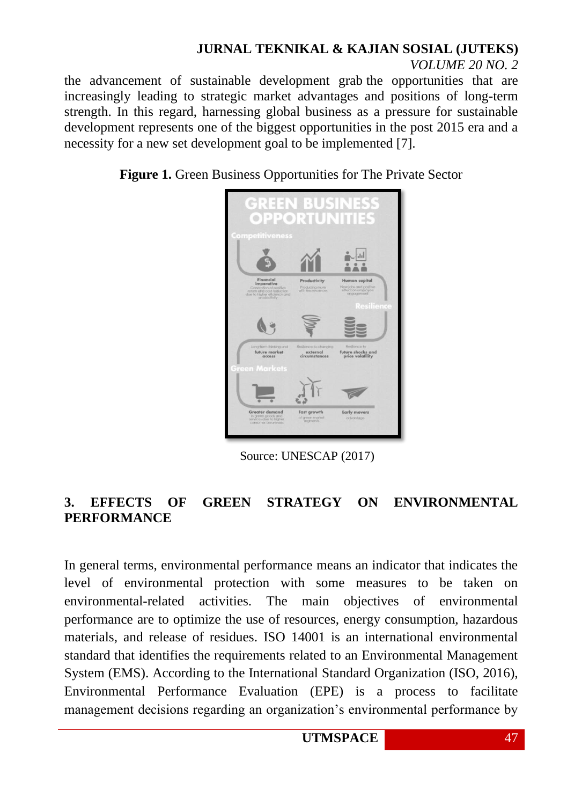# **JURNAL TEKNIKAL & KAJIAN SOSIAL (JUTEKS)**

*VOLUME 20 NO. 2*

the advancement of sustainable development grab the opportunities that are increasingly leading to strategic market advantages and positions of long-term strength. In this regard, harnessing global business as a pressure for sustainable development represents one of the biggest opportunities in the post 2015 era and a necessity for a new set development goal to be implemented [7].

**Figure 1.** Green Business Opportunities for The Private Sector



Source: UNESCAP (2017)

## **3. EFFECTS OF GREEN STRATEGY ON ENVIRONMENTAL PERFORMANCE**

In general terms, environmental performance means an indicator that indicates the level of environmental protection with some measures to be taken on environmental-related activities. The main objectives of environmental performance are to optimize the use of resources, energy consumption, hazardous materials, and release of residues. ISO 14001 is an international environmental standard that identifies the requirements related to an Environmental Management System (EMS). According to the International Standard Organization (ISO, 2016), Environmental Performance Evaluation (EPE) is a process to facilitate management decisions regarding an organization's environmental performance by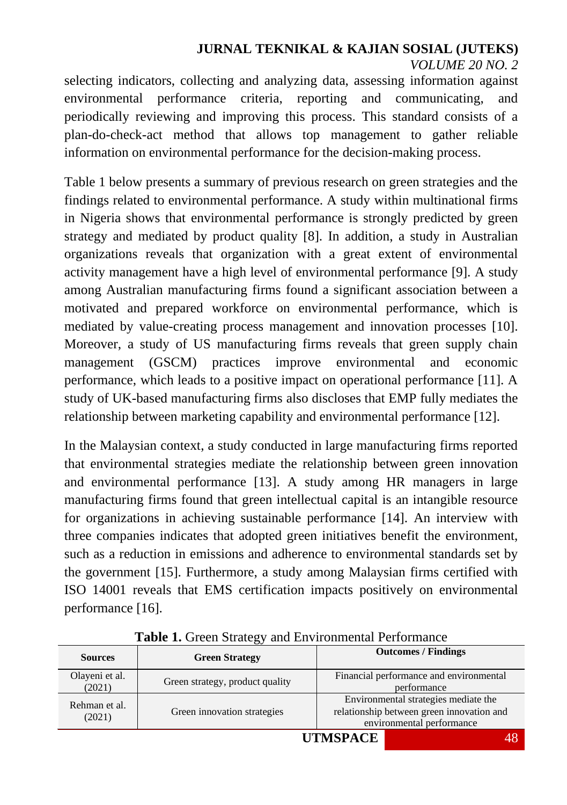# **JURNAL TEKNIKAL & KAJIAN SOSIAL (JUTEKS)** *VOLUME 20 NO. 2*

selecting indicators, collecting and analyzing data, assessing information against environmental performance criteria, reporting and communicating, and periodically reviewing and improving this process. This standard consists of a plan-do-check-act method that allows top management to gather reliable information on environmental performance for the decision-making process.

Table 1 below presents a summary of previous research on green strategies and the findings related to environmental performance. A study within multinational firms in Nigeria shows that environmental performance is strongly predicted by green strategy and mediated by product quality [8]. In addition, a study in Australian organizations reveals that organization with a great extent of environmental activity management have a high level of environmental performance [9]. A study among Australian manufacturing firms found a significant association between a motivated and prepared workforce on environmental performance, which is mediated by value-creating process management and innovation processes [10]. Moreover, a study of US manufacturing firms reveals that green supply chain management (GSCM) practices improve environmental and economic performance, which leads to a positive impact on operational performance [11]. A study of UK-based manufacturing firms also discloses that EMP fully mediates the relationship between marketing capability and environmental performance [12].

In the Malaysian context, a study conducted in large manufacturing firms reported that environmental strategies mediate the relationship between green innovation and environmental performance [13]. A study among HR managers in large manufacturing firms found that green intellectual capital is an intangible resource for organizations in achieving sustainable performance [14]. An interview with three companies indicates that adopted green initiatives benefit the environment, such as a reduction in emissions and adherence to environmental standards set by the government [15]. Furthermore, a study among Malaysian firms certified with ISO 14001 reveals that EMS certification impacts positively on environmental performance [16].

| <b>Sources</b>           | <b>Green Strategy</b>           | <b>Outcomes / Findings</b>                                                                                     |
|--------------------------|---------------------------------|----------------------------------------------------------------------------------------------------------------|
| Olayeni et al.<br>(2021) | Green strategy, product quality | Financial performance and environmental<br>performance                                                         |
| Rehman et al.<br>(2021)  | Green innovation strategies     | Environmental strategies mediate the<br>relationship between green innovation and<br>environmental performance |
| $\sim$<br>$\sim$         |                                 |                                                                                                                |

**Table 1.** Green Strategy and Environmental Performance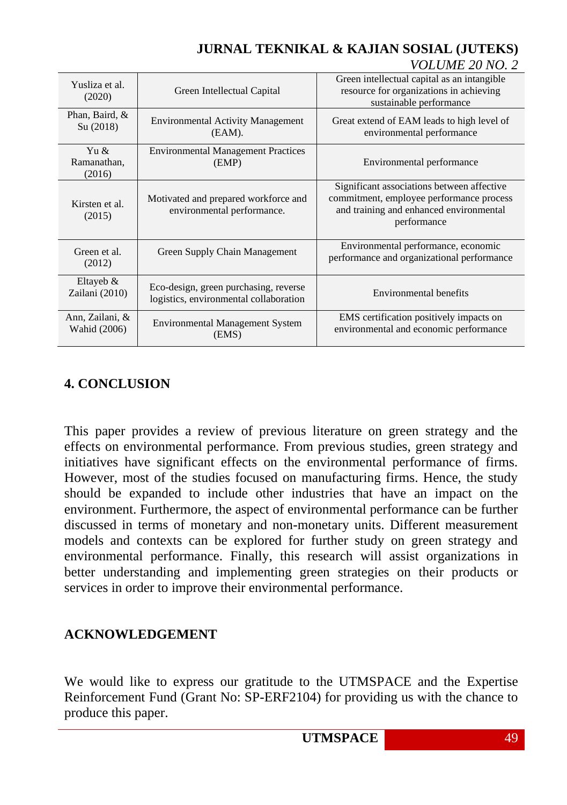#### Yusliza et al. SILZa et al.  $\qquad$  Green Intellectual Capital (2020) Green intellectual capital as an intangible resource for organizations in achieving sustainable performance Phan, Baird, & Su (2018) Environmental Activity Management<br>  $\begin{bmatrix} S_{\text{u}} & (2018) \end{bmatrix}$ (EAM). Great extend of EAM leads to high level of environmental performance Yu & Ramanathan, (2016) Environmental Management Practices (EMP) Environmental performance Kirsten et al. (2015) Motivated and prepared workforce and environmental performance. Significant associations between affective commitment, employee performance process and training and enhanced environmental performance Green et al. (2012) Green Supply Chain Management Environmental performance, economic<br>mechanisms and exercisational performance performance and organizational performance Eltayeb & Zailani (2010) Eco-design, green purchasing, reverse Eco-ecsign, green purchasing, reverse<br>logistics, environmental collaboration Environmental benefits Ann, Zailani, & Wahid  $(2006)$  Environmental Management System (EMS) EMS certification positively impacts on environmental and economic performance

### **JURNAL TEKNIKAL & KAJIAN SOSIAL (JUTEKS)** *VOLUME 20 NO. 2*

# **4. CONCLUSION**

This paper provides a review of previous literature on green strategy and the effects on environmental performance. From previous studies, green strategy and initiatives have significant effects on the environmental performance of firms. However, most of the studies focused on manufacturing firms. Hence, the study should be expanded to include other industries that have an impact on the environment. Furthermore, the aspect of environmental performance can be further discussed in terms of monetary and non-monetary units. Different measurement models and contexts can be explored for further study on green strategy and environmental performance. Finally, this research will assist organizations in better understanding and implementing green strategies on their products or services in order to improve their environmental performance.

# **ACKNOWLEDGEMENT**

We would like to express our gratitude to the UTMSPACE and the Expertise Reinforcement Fund (Grant No: SP-ERF2104) for providing us with the chance to produce this paper.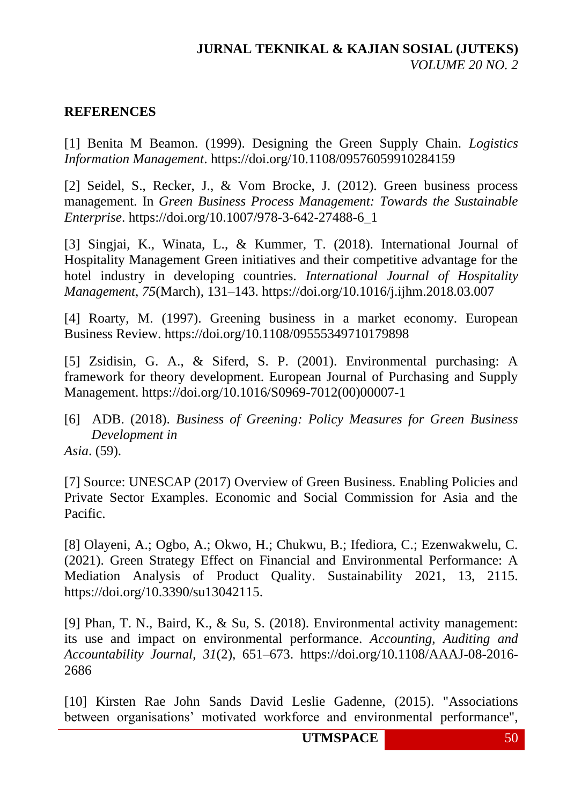### **REFERENCES**

[1] Benita M Beamon. (1999). Designing the Green Supply Chain. *Logistics Information Management*. https://doi.org/10.1108/09576059910284159

[2] Seidel, S., Recker, J., & Vom Brocke, J. (2012). Green business process management. In *Green Business Process Management: Towards the Sustainable Enterprise*. https://doi.org/10.1007/978-3-642-27488-6\_1

[3] Singjai, K., Winata, L., & Kummer, T. (2018). International Journal of Hospitality Management Green initiatives and their competitive advantage for the hotel industry in developing countries. *International Journal of Hospitality Management*, *75*(March), 131–143. <https://doi.org/10.1016/j.ijhm.2018.03.007>

[4] Roarty, M. (1997). Greening business in a market economy. European Business Review.<https://doi.org/10.1108/09555349710179898>

[5] Zsidisin, G. A., & Siferd, S. P. (2001). Environmental purchasing: A framework for theory development. European Journal of Purchasing and Supply Management. https://doi.org/10.1016/S0969-7012(00)00007-1

[6] ADB. (2018). *Business of Greening: Policy Measures for Green Business Development in Asia*. (59).

[7] Source: UNESCAP (2017) Overview of Green Business. Enabling Policies and Private Sector Examples. Economic and Social Commission for Asia and the Pacific.

[8] Olayeni, A.; Ogbo, A.; Okwo, H.; Chukwu, B.; Ifediora, C.; Ezenwakwelu, C. (2021). Green Strategy Effect on Financial and Environmental Performance: A Mediation Analysis of Product Quality. Sustainability 2021, 13, 2115. https://doi.org/10.3390/su13042115.

[9] Phan, T. N., Baird, K., & Su, S. (2018). Environmental activity management: its use and impact on environmental performance. *Accounting, Auditing and Accountability Journal*, *31*(2), 651–673. https://doi.org/10.1108/AAAJ-08-2016- 2686

[10] Kirsten Rae John Sands David Leslie Gadenne, (2015). "Associations between organisations' motivated workforce and environmental performance",